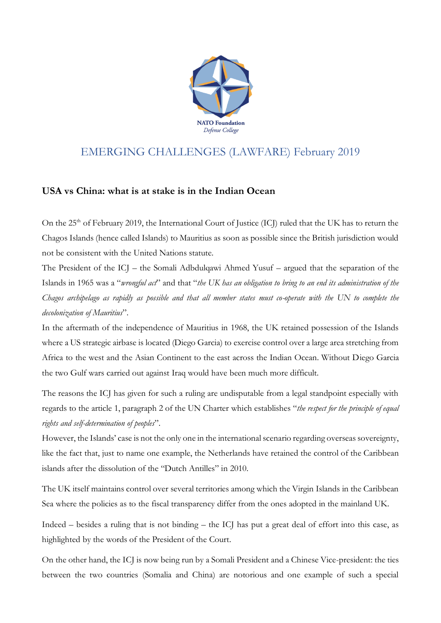

## EMERGING CHALLENGES (LAWFARE) February 2019

## **USA vs China: what is at stake is in the Indian Ocean**

On the 25<sup>th</sup> of February 2019, the International Court of Justice (ICJ) ruled that the UK has to return the Chagos Islands (hence called Islands) to Mauritius as soon as possible since the British jurisdiction would not be consistent with the United Nations statute.

The President of the ICJ – the Somali Adbdulqawi Ahmed Yusuf – argued that the separation of the Islands in 1965 was a "*wrongful act*" and that "*the UK has an obligation to bring to an end its administration of the Chagos archipelago as rapidly as possible and that all member states must co-operate with the UN to complete the decolonization of Mauritius*".

In the aftermath of the independence of Mauritius in 1968, the UK retained possession of the Islands where a US strategic airbase is located (Diego Garcia) to exercise control over a large area stretching from Africa to the west and the Asian Continent to the east across the Indian Ocean. Without Diego Garcia the two Gulf wars carried out against Iraq would have been much more difficult.

The reasons the ICJ has given for such a ruling are undisputable from a legal standpoint especially with regards to the article 1, paragraph 2 of the UN Charter which establishes "*the respect for the principle of equal rights and self-determination of peoples*".

However, the Islands' case is not the only one in the international scenario regarding overseas sovereignty, like the fact that, just to name one example, the Netherlands have retained the control of the Caribbean islands after the dissolution of the "Dutch Antilles" in 2010.

The UK itself maintains control over several territories among which the Virgin Islands in the Caribbean Sea where the policies as to the fiscal transparency differ from the ones adopted in the mainland UK.

Indeed – besides a ruling that is not binding – the ICJ has put a great deal of effort into this case, as highlighted by the words of the President of the Court.

On the other hand, the ICJ is now being run by a Somali President and a Chinese Vice-president: the ties between the two countries (Somalia and China) are notorious and one example of such a special